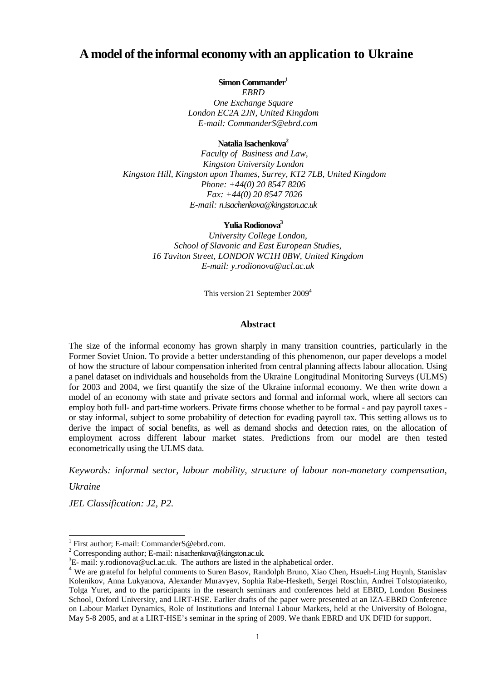## **A model of the informal economy with an application to Ukraine**

**Simon Commander<sup>1</sup>**

*EBRD One Exchange Square London EC2A 2JN, United Kingdom E-mail: CommanderS@ebrd.com* 

**Natalia Isachenkova<sup>2</sup>**

*Faculty of Business and Law, Kingston University London Kingston Hill, Kingston upon Thames, Surrey, KT2 7LB, United Kingdom Phone: +44(0) 20 8547 8206 Fax: +44(0) 20 8547 7026 E-mail: n.isachenkova@kingston.ac.uk* 

#### **Yulia Rodionova<sup>3</sup>**

*University College London, School of Slavonic and East European Studies, 16 Taviton Street, LONDON WC1H 0BW, United Kingdom E-mail: y.rodionova@ucl.ac.uk* 

This version 21 September 2009<sup>4</sup>

#### **Abstract**

The size of the informal economy has grown sharply in many transition countries, particularly in the Former Soviet Union. To provide a better understanding of this phenomenon, our paper develops a model of how the structure of labour compensation inherited from central planning affects labour allocation. Using a panel dataset on individuals and households from the Ukraine Longitudinal Monitoring Surveys (ULMS) for 2003 and 2004, we first quantify the size of the Ukraine informal economy. We then write down a model of an economy with state and private sectors and formal and informal work, where all sectors can employ both full- and part-time workers. Private firms choose whether to be formal - and pay payroll taxes or stay informal, subject to some probability of detection for evading payroll tax. This setting allows us to derive the impact of social benefits, as well as demand shocks and detection rates, on the allocation of employment across different labour market states. Predictions from our model are then tested econometrically using the ULMS data.

*Keywords: informal sector, labour mobility, structure of labour non-monetary compensation,* 

*Ukraine* 

l

*JEL Classification: J2, P2.*

<sup>1</sup> First author; E-mail: CommanderS@ebrd.com.

<sup>&</sup>lt;sup>2</sup> Corresponding author; E-mail: n.isachenkova@kingston.ac.uk.

 ${}^{3}E$ - mail: y.rodionova@ucl.ac.uk. The authors are listed in the alphabetical order.

<sup>&</sup>lt;sup>4</sup> We are grateful for helpful comments to Suren Basov, Randolph Bruno, Xiao Chen, Hsueh-Ling Huynh, Stanislav Kolenikov, Anna Lukyanova, Alexander Muravyev, Sophia Rabe-Hesketh, Sergei Roschin, Andrei Tolstopiatenko, Tolga Yuret, and to the participants in the research seminars and conferences held at EBRD, London Business School, Oxford University, and LIRT-HSE. Earlier drafts of the paper were presented at an IZA-EBRD Conference on Labour Market Dynamics, Role of Institutions and Internal Labour Markets, held at the University of Bologna, May 5-8 2005, and at a LIRT-HSE's seminar in the spring of 2009. We thank EBRD and UK DFID for support.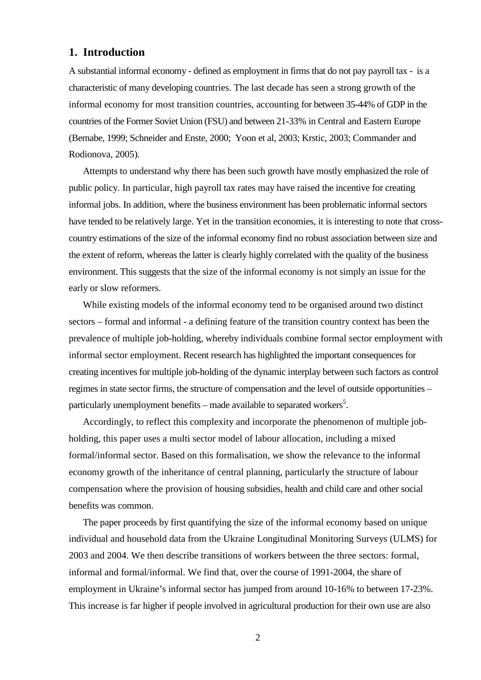## **1. Introduction**

A substantial informal economy - defined as employment in firms that do not pay payroll tax - is a characteristic of many developing countries. The last decade has seen a strong growth of the informal economy for most transition countries, accounting for between 35-44% of GDP in the countries of the Former Soviet Union (FSU) and between 21-33% in Central and Eastern Europe (Bernabe, 1999; Schneider and Enste, 2000; Yoon et al, 2003; Krstic, 2003; Commander and Rodionova, 2005).

Attempts to understand why there has been such growth have mostly emphasized the role of public policy. In particular, high payroll tax rates may have raised the incentive for creating informal jobs. In addition, where the business environment has been problematic informal sectors have tended to be relatively large. Yet in the transition economies, it is interesting to note that crosscountry estimations of the size of the informal economy find no robust association between size and the extent of reform, whereas the latter is clearly highly correlated with the quality of the business environment. This suggests that the size of the informal economy is not simply an issue for the early or slow reformers.

While existing models of the informal economy tend to be organised around two distinct sectors – formal and informal - a defining feature of the transition country context has been the prevalence of multiple job-holding, whereby individuals combine formal sector employment with informal sector employment. Recent research has highlighted the important consequences for creating incentives for multiple job-holding of the dynamic interplay between such factors as control regimes in state sector firms, the structure of compensation and the level of outside opportunities – particularly unemployment benefits – made available to separated workers<sup>5</sup>.

Accordingly, to reflect this complexity and incorporate the phenomenon of multiple jobholding, this paper uses a multi sector model of labour allocation, including a mixed formal/informal sector. Based on this formalisation, we show the relevance to the informal economy growth of the inheritance of central planning, particularly the structure of labour compensation where the provision of housing subsidies, health and child care and other social benefits was common.

The paper proceeds by first quantifying the size of the informal economy based on unique individual and household data from the Ukraine Longitudinal Monitoring Surveys (ULMS) for 2003 and 2004. We then describe transitions of workers between the three sectors: formal, informal and formal/informal. We find that, over the course of 1991-2004, the share of employment in Ukraine's informal sector has jumped from around 10-16% to between 17-23%. This increase is far higher if people involved in agricultural production for their own use are also

2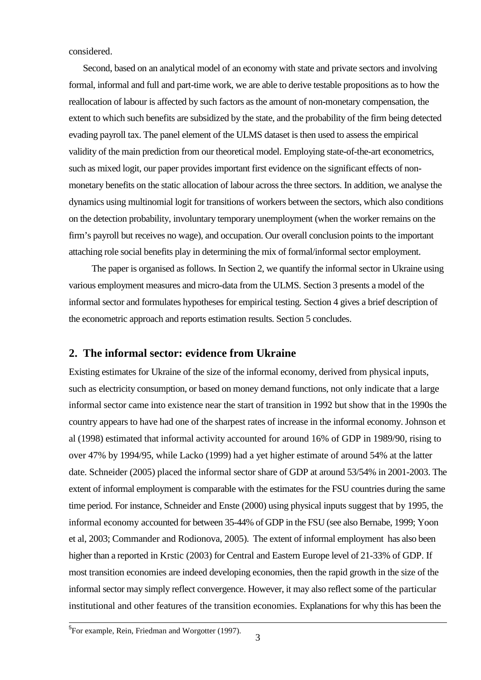considered.

Second, based on an analytical model of an economy with state and private sectors and involving formal, informal and full and part-time work, we are able to derive testable propositions as to how the reallocation of labour is affected by such factors as the amount of non-monetary compensation, the extent to which such benefits are subsidized by the state, and the probability of the firm being detected evading payroll tax. The panel element of the ULMS dataset is then used to assess the empirical validity of the main prediction from our theoretical model. Employing state-of-the-art econometrics, such as mixed logit, our paper provides important first evidence on the significant effects of nonmonetary benefits on the static allocation of labour across the three sectors. In addition, we analyse the dynamics using multinomial logit for transitions of workers between the sectors, which also conditions on the detection probability, involuntary temporary unemployment (when the worker remains on the firm's payroll but receives no wage), and occupation. Our overall conclusion points to the important attaching role social benefits play in determining the mix of formal/informal sector employment.

 The paper is organised as follows. In Section 2, we quantify the informal sector in Ukraine using various employment measures and micro-data from the ULMS. Section 3 presents a model of the informal sector and formulates hypotheses for empirical testing. Section 4 gives a brief description of the econometric approach and reports estimation results. Section 5 concludes.

## **2. The informal sector: evidence from Ukraine**

Existing estimates for Ukraine of the size of the informal economy, derived from physical inputs, such as electricity consumption, or based on money demand functions, not only indicate that a large informal sector came into existence near the start of transition in 1992 but show that in the 1990s the country appears to have had one of the sharpest rates of increase in the informal economy. Johnson et al (1998) estimated that informal activity accounted for around 16% of GDP in 1989/90, rising to over 47% by 1994/95, while Lacko (1999) had a yet higher estimate of around 54% at the latter date. Schneider (2005) placed the informal sector share of GDP at around 53/54% in 2001-2003. The extent of informal employment is comparable with the estimates for the FSU countries during the same time period. For instance, Schneider and Enste (2000) using physical inputs suggest that by 1995, the informal economy accounted for between 35-44% of GDP in the FSU (see also Bernabe, 1999; Yoon et al, 2003; Commander and Rodionova, 2005). The extent of informal employment has also been higher than a reported in Krstic (2003) for Central and Eastern Europe level of 21-33% of GDP. If most transition economies are indeed developing economies, then the rapid growth in the size of the informal sector may simply reflect convergence. However, it may also reflect some of the particular institutional and other features of the transition economies. Explanations for why this has been the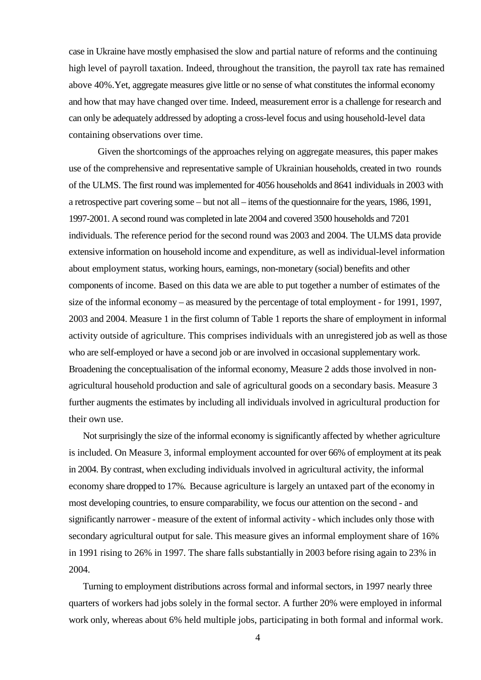case in Ukraine have mostly emphasised the slow and partial nature of reforms and the continuing high level of payroll taxation. Indeed, throughout the transition, the payroll tax rate has remained above 40%.Yet, aggregate measures give little or no sense of what constitutes the informal economy and how that may have changed over time. Indeed, measurement error is a challenge for research and can only be adequately addressed by adopting a cross-level focus and using household-level data containing observations over time.

Given the shortcomings of the approaches relying on aggregate measures, this paper makes use of the comprehensive and representative sample of Ukrainian households, created in two rounds of the ULMS. The first round was implemented for 4056 households and 8641 individuals in 2003 with a retrospective part covering some – but not all – items of the questionnaire for the years, 1986, 1991, 1997-2001. A second round was completed in late 2004 and covered 3500 households and 7201 individuals. The reference period for the second round was 2003 and 2004. The ULMS data provide extensive information on household income and expenditure, as well as individual-level information about employment status, working hours, earnings, non-monetary (social) benefits and other components of income. Based on this data we are able to put together a number of estimates of the size of the informal economy – as measured by the percentage of total employment - for 1991, 1997, 2003 and 2004. Measure 1 in the first column of Table 1 reports the share of employment in informal activity outside of agriculture. This comprises individuals with an unregistered job as well as those who are self-employed or have a second job or are involved in occasional supplementary work. Broadening the conceptualisation of the informal economy, Measure 2 adds those involved in nonagricultural household production and sale of agricultural goods on a secondary basis. Measure 3 further augments the estimates by including all individuals involved in agricultural production for their own use.

Not surprisingly the size of the informal economy is significantly affected by whether agriculture is included. On Measure 3, informal employment accounted for over 66% of employment at its peak in 2004. By contrast, when excluding individuals involved in agricultural activity, the informal economy share dropped to 17%. Because agriculture is largely an untaxed part of the economy in most developing countries, to ensure comparability, we focus our attention on the second - and significantly narrower - measure of the extent of informal activity - which includes only those with secondary agricultural output for sale. This measure gives an informal employment share of 16% in 1991 rising to 26% in 1997. The share falls substantially in 2003 before rising again to 23% in 2004.

Turning to employment distributions across formal and informal sectors, in 1997 nearly three quarters of workers had jobs solely in the formal sector. A further 20% were employed in informal work only, whereas about 6% held multiple jobs, participating in both formal and informal work.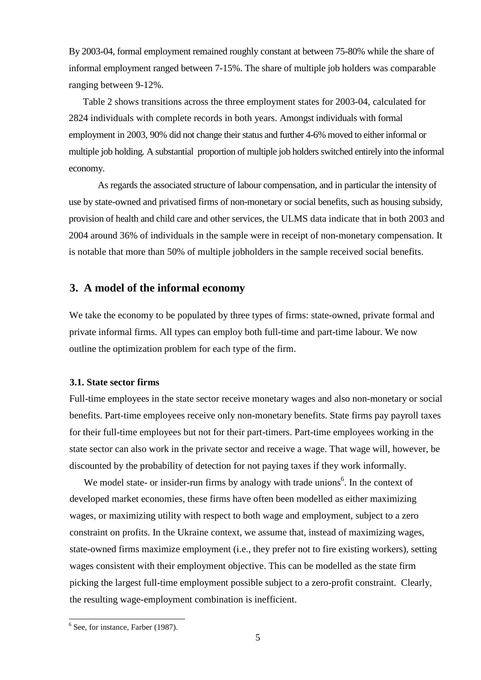By 2003-04, formal employment remained roughly constant at between 75-80% while the share of informal employment ranged between 7-15%. The share of multiple job holders was comparable ranging between 9-12%.

Table 2 shows transitions across the three employment states for 2003-04, calculated for 2824 individuals with complete records in both years. Amongst individuals with formal employment in 2003, 90% did not change their status and further 4-6% moved to either informal or multiple job holding. A substantial proportion of multiple job holders switched entirely into the informal economy.

As regards the associated structure of labour compensation, and in particular the intensity of use by state-owned and privatised firms of non-monetary or social benefits, such as housing subsidy, provision of health and child care and other services, the ULMS data indicate that in both 2003 and 2004 around 36% of individuals in the sample were in receipt of non-monetary compensation. It is notable that more than 50% of multiple jobholders in the sample received social benefits.

## **3. A model of the informal economy**

We take the economy to be populated by three types of firms: state-owned, private formal and private informal firms. All types can employ both full-time and part-time labour. We now outline the optimization problem for each type of the firm.

#### **3.1. State sector firms**

Full-time employees in the state sector receive monetary wages and also non-monetary or social benefits. Part-time employees receive only non-monetary benefits. State firms pay payroll taxes for their full-time employees but not for their part-timers. Part-time employees working in the state sector can also work in the private sector and receive a wage. That wage will, however, be discounted by the probability of detection for not paying taxes if they work informally.

We model state- or insider-run firms by analogy with trade unions<sup>6</sup>. In the context of developed market economies, these firms have often been modelled as either maximizing wages, or maximizing utility with respect to both wage and employment, subject to a zero constraint on profits. In the Ukraine context, we assume that, instead of maximizing wages, state-owned firms maximize employment (i.e., they prefer not to fire existing workers), setting wages consistent with their employment objective. This can be modelled as the state firm picking the largest full-time employment possible subject to a zero-profit constraint. Clearly, the resulting wage-employment combination is inefficient.

l

<sup>&</sup>lt;sup>6</sup> See, for instance, Farber (1987).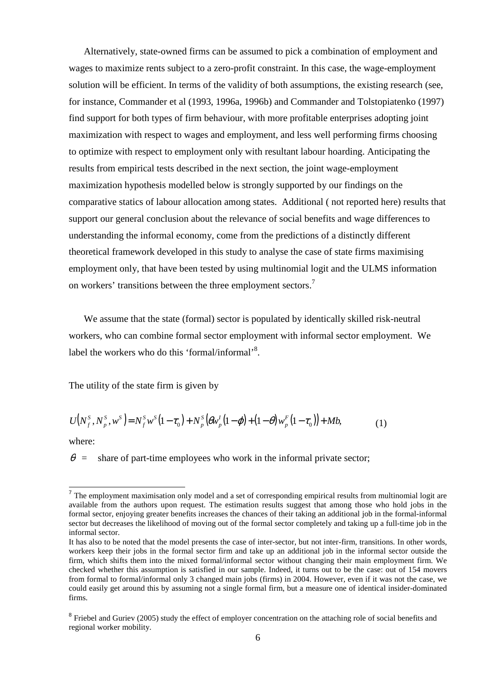Alternatively, state-owned firms can be assumed to pick a combination of employment and wages to maximize rents subject to a zero-profit constraint. In this case, the wage-employment solution will be efficient. In terms of the validity of both assumptions, the existing research (see, for instance, Commander et al (1993, 1996a, 1996b) and Commander and Tolstopiatenko (1997) find support for both types of firm behaviour, with more profitable enterprises adopting joint maximization with respect to wages and employment, and less well performing firms choosing to optimize with respect to employment only with resultant labour hoarding. Anticipating the results from empirical tests described in the next section, the joint wage-employment maximization hypothesis modelled below is strongly supported by our findings on the comparative statics of labour allocation among states. Additional ( not reported here) results that support our general conclusion about the relevance of social benefits and wage differences to understanding the informal economy, come from the predictions of a distinctly different theoretical framework developed in this study to analyse the case of state firms maximising employment only, that have been tested by using multinomial logit and the ULMS information on workers' transitions between the three employment sectors.<sup>7</sup>

We assume that the state (formal) sector is populated by identically skilled risk-neutral workers, who can combine formal sector employment with informal sector employment. We label the workers who do this 'formal/informal'<sup>8</sup>.

The utility of the state firm is given by

$$
U(N_f^s, N_p^s, w^s) = N_f^s w^s (1 - \tau_0) + N_p^s (\theta w_p^t (1 - \phi) + (1 - \theta) w_p^F (1 - \tau_0)) + Mb,
$$
\n(1)

where:

 $\theta$  = share of part-time employees who work in the informal private sector;

<sup>&</sup>lt;sup>7</sup> The employment maximisation only model and a set of corresponding empirical results from multinomial logit are available from the authors upon request. The estimation results suggest that among those who hold jobs in the formal sector, enjoying greater benefits increases the chances of their taking an additional job in the formal-informal sector but decreases the likelihood of moving out of the formal sector completely and taking up a full-time job in the informal sector.

It has also to be noted that the model presents the case of inter-sector, but not inter-firm, transitions. In other words, workers keep their jobs in the formal sector firm and take up an additional job in the informal sector outside the firm, which shifts them into the mixed formal/informal sector without changing their main employment firm. We checked whether this assumption is satisfied in our sample. Indeed, it turns out to be the case: out of 154 movers from formal to formal/informal only 3 changed main jobs (firms) in 2004. However, even if it was not the case, we could easily get around this by assuming not a single formal firm, but a measure one of identical insider-dominated firms.

<sup>&</sup>lt;sup>8</sup> Friebel and Guriev (2005) study the effect of employer concentration on the attaching role of social benefits and regional worker mobility.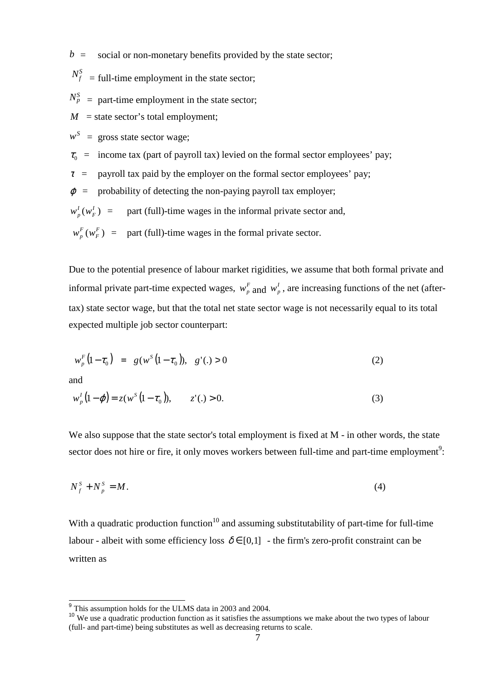$b =$  social or non-monetary benefits provided by the state sector;

 $N_f^S$  = full-time employment in the state sector;

 $N_p^S$  = part-time employment in the state sector;

 $M =$  state sector's total employment;

 $w^S$  = gross state sector wage;

 $\tau_0$  = income tax (part of payroll tax) levied on the formal sector employees' pay;

 $\tau$  = payroll tax paid by the employer on the formal sector employees' pay;

 $\varphi$  = probability of detecting the non-paying payroll tax employer;

 $(w_F^I)$ *F*  $w_p^I(w_F^I)$  = part (full)-time wages in the informal private sector and,

 $W_p^F(W_F^F)$ *F*  $w_p^F(w_p^F)$  = part (full)-time wages in the formal private sector.

Due to the potential presence of labour market rigidities, we assume that both formal private and informal private part-time expected wages,  $w_p^F$  and  $w_p^I$ , are increasing functions of the net (aftertax) state sector wage, but that the total net state sector wage is not necessarily equal to its total expected multiple job sector counterpart:

$$
w_p^F(1 - \tau_0) = g(w^S(1 - \tau_0)), g'(.) > 0
$$
\n(2)

and

$$
w_p^I(1-\varphi) = z(w^S(1-\tau_0)), \qquad z'(.) > 0.
$$
 (3)

We also suppose that the state sector's total employment is fixed at M - in other words, the state sector does not hire or fire, it only moves workers between full-time and part-time employment<sup>9</sup>:

$$
N_f^S + N_p^S = M. \tag{4}
$$

With a quadratic production function<sup>10</sup> and assuming substitutability of part-time for full-time labour - albeit with some efficiency loss  $\delta \in [0,1]$  - the firm's zero-profit constraint can be written as

<sup>&</sup>lt;sup>9</sup> This assumption holds for the ULMS data in 2003 and 2004.

<sup>&</sup>lt;sup>10</sup> We use a quadratic production function as it satisfies the assumptions we make about the two types of labour (full- and part-time) being substitutes as well as decreasing returns to scale.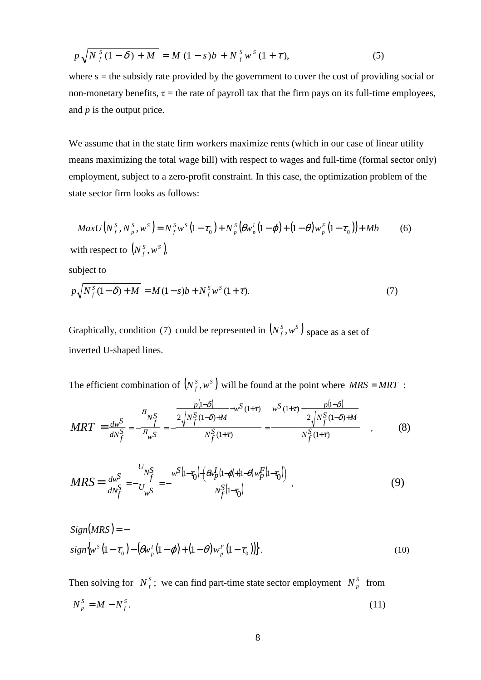$$
p\sqrt{N_f^s(1-\delta) + M} = M(1-s)b + N_f^s w^s(1+\tau),
$$
\n(5)

where  $s =$  the subsidy rate provided by the government to cover the cost of providing social or non-monetary benefits,  $\tau$  = the rate of payroll tax that the firm pays on its full-time employees, and *p* is the output price.

We assume that in the state firm workers maximize rents (which in our case of linear utility means maximizing the total wage bill) with respect to wages and full-time (formal sector only) employment, subject to a zero-profit constraint. In this case, the optimization problem of the state sector firm looks as follows:

$$
MaxU(N_f^s, N_p^s, w^s) = N_f^s w^s (1 - \tau_0) + N_p^s (\theta w_p^t (1 - \phi) + (1 - \theta) w_p^F (1 - \tau_0)) + Mb
$$
 (6)  
with respect to  $(N_f^s, w^s)$ ,

subject to

$$
p\sqrt{N_f^s(1-\delta) + M} = M(1-s)b + N_f^s w^s(1+\tau).
$$
 (7)

Graphically, condition (7) could be represented in  $(N_f^s, w^s)$  space as a set of inverted U-shaped lines.

The efficient combination of  $(N_f^s, w^s)$  will be found at the point where  $MRS = MRT$ :

$$
MRT = \frac{dw^S}{dN_f^S} = -\frac{\frac{\pi}{N_f^S}}{\pi_{w^S}} = -\frac{\frac{p[1-\delta]}{2\sqrt{N_f^S(1-\delta)+M}} - w^S(1+\tau)}{N_f^S(1+\tau)} = \frac{w^S(1+\tau) - \frac{p[1-\delta]}{2\sqrt{N_f^S(1-\delta)+M}}}{N_f^S(1+\tau)} \tag{8}
$$

$$
MRS = \frac{d\omega^S}{dN_f^S} = -\frac{U_{N_f^S}}{U_{\omega S}} = -\frac{\omega^S (1 - \tau_0) \left( \frac{\omega_p (1 - \varphi) + (1 - \varphi) \omega_p^F (1 - \tau_0)}{N_f^S (1 - \tau_0)} \right)}{N_f^S (1 - \tau_0)},
$$
(9)

$$
Sign(MRS) = -
$$
  
\n
$$
sign\{\mathbf{w}^{S}(1-\tau_{0}) - (\theta \mathbf{w}^{I}_{p}(1-\varphi) + (1-\theta) \mathbf{w}^{F}_{p}(1-\tau_{0}))\}.
$$
\n(10)

Then solving for  $N_f^s$ ; we can find part-time state sector employment  $N_p^s$  from  $N_{n}^{S} = M - N_{f}^{S}$ .  $N_p^S = M - N_f^S$ . (11)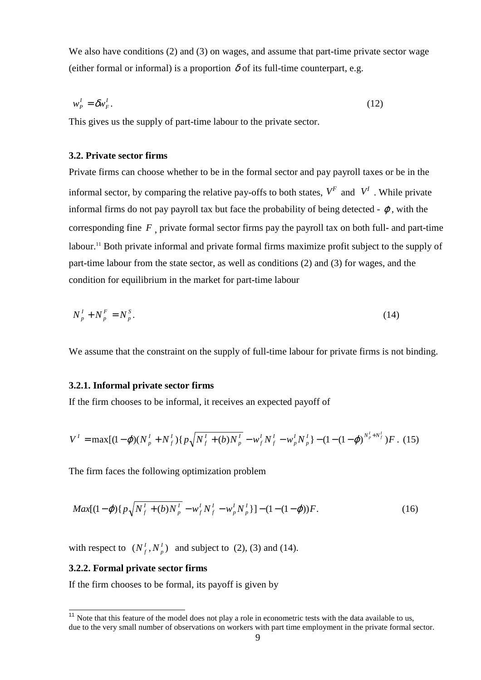We also have conditions (2) and (3) on wages, and assume that part-time private sector wage (either formal or informal) is a proportion  $\delta$  of its full-time counterpart, e.g.

$$
w_P^I = \delta w_F^I. \tag{12}
$$

This gives us the supply of part-time labour to the private sector.

### **3.2. Private sector firms**

Private firms can choose whether to be in the formal sector and pay payroll taxes or be in the informal sector, by comparing the relative pay-offs to both states,  $V^F$  and  $V^I$ . While private informal firms do not pay payroll tax but face the probability of being detected -  $\varphi$ , with the corresponding fine *F* , private formal sector firms pay the payroll tax on both full- and part-time labour.<sup>11</sup> Both private informal and private formal firms maximize profit subject to the supply of part-time labour from the state sector, as well as conditions (2) and (3) for wages, and the condition for equilibrium in the market for part-time labour

$$
N_p^I + N_p^F = N_p^S. \tag{14}
$$

We assume that the constraint on the supply of full-time labour for private firms is not binding.

### **3.2.1. Informal private sector firms**

If the firm chooses to be informal, it receives an expected payoff of

$$
V^{I} = \max[(1-\varphi)(N_{p}^{I} + N_{f}^{I})(p\sqrt{N_{f}^{I} + (b)N_{p}^{I}} - w_{f}^{I}N_{f}^{I} - w_{p}^{I}N_{p}^{I}) - (1 - (1-\varphi)^{N_{p}^{I} + N_{f}^{I}})F. (15)
$$

The firm faces the following optimization problem

$$
Max[(1-\varphi)\{p\sqrt{N_f^I + (b)N_p^I} - w_f^I N_f^I - w_p^I N_p^I\}] - (1 - (1-\varphi))F.
$$
\n(16)

with respect to  $(N_f^I, N_p^I)$  $N_f^I$ ,  $N_p^I$ ) and subject to (2), (3) and (14).

#### **3.2.2. Formal private sector firms**

 $\overline{\phantom{a}}$ 

If the firm chooses to be formal, its payoff is given by

 $11$  Note that this feature of the model does not play a role in econometric tests with the data available to us, due to the very small number of observations on workers with part time employment in the private formal sector.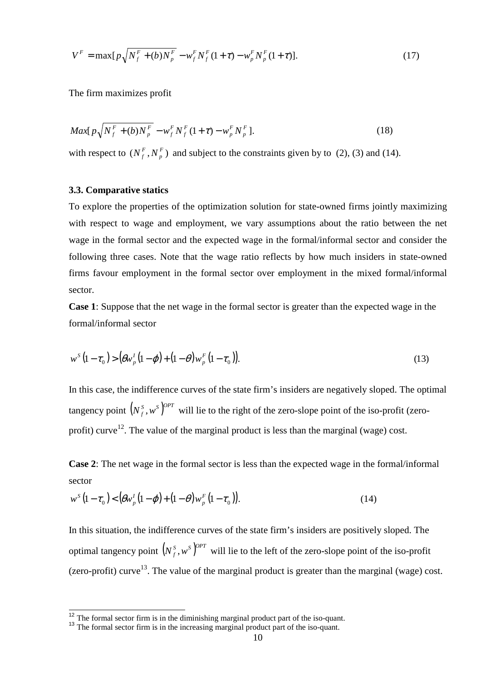$$
V^{F} = \max[p\sqrt{N_f^{F} + (b)N_p^{F}} - w_f^{F}N_f^{F}(1+\tau) - w_p^{F}N_p^{F}(1+\tau)].
$$
\n(17)

The firm maximizes profit

$$
Max[p\sqrt{N_f^F + (b)N_p^F} - w_f^F N_f^F (1 + \tau) - w_p^F N_p^F].
$$
\n(18)

with respect to  $(N_f^F, N_n^F)$  $N_f^F$ ,  $N_p^F$ ) and subject to the constraints given by to (2), (3) and (14).

#### **3.3. Comparative statics**

 $\overline{\phantom{a}}$ 

To explore the properties of the optimization solution for state-owned firms jointly maximizing with respect to wage and employment, we vary assumptions about the ratio between the net wage in the formal sector and the expected wage in the formal/informal sector and consider the following three cases. Note that the wage ratio reflects by how much insiders in state-owned firms favour employment in the formal sector over employment in the mixed formal/informal sector.

**Case 1**: Suppose that the net wage in the formal sector is greater than the expected wage in the formal/informal sector

$$
w^{S}(1-\tau_{0}) > (\theta w_{p}^{I}(1-\varphi) + (1-\theta)w_{p}^{F}(1-\tau_{0})).
$$
\n(13)

In this case, the indifference curves of the state firm's insiders are negatively sloped. The optimal tangency point  $(N_f^s, w^s)^{OPT}$  will lie to the right of the zero-slope point of the iso-profit (zeroprofit) curve<sup>12</sup>. The value of the marginal product is less than the marginal (wage) cost.

**Case 2**: The net wage in the formal sector is less than the expected wage in the formal/informal sector

$$
w^{s}(1-\tau_{0}) < (\theta w_{p}^{I}(1-\varphi) + (1-\theta)w_{p}^{F}(1-\tau_{0})).
$$
\n(14)

In this situation, the indifference curves of the state firm's insiders are positively sloped. The optimal tangency point  $(N_f^s, w^s)$ <sup>*OPT*</sup> will lie to the left of the zero-slope point of the iso-profit (zero-profit) curve<sup>13</sup>. The value of the marginal product is greater than the marginal (wage) cost.

 $12$ <sup>12</sup> The formal sector firm is in the diminishing marginal product part of the iso-quant.

<sup>&</sup>lt;sup>13</sup> The formal sector firm is in the increasing marginal product part of the iso-quant.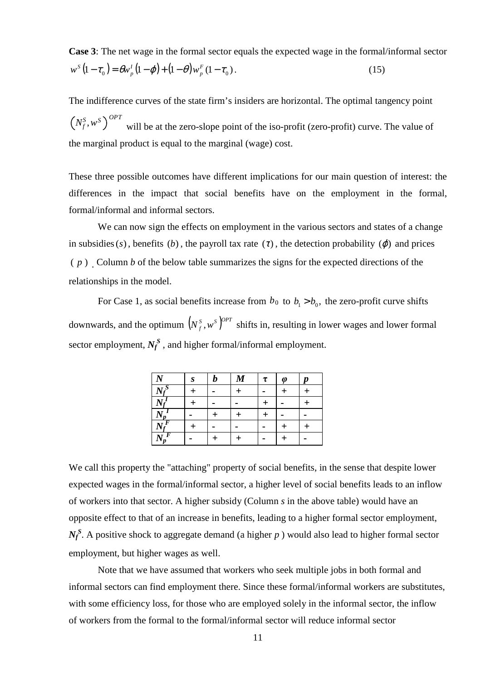**Case 3**: The net wage in the formal sector equals the expected wage in the formal/informal sector  $(1 - \tau_0) = \theta w_p^I (1 - \varphi) + (1 - \theta) w_p^F (1 - \tau_0).$  (15) *p I p*  $w^{S}(1-\tau_{0}) = \theta w_{p}^{I}(1-\varphi) + (1-\theta)w$ 

The indifference curves of the state firm's insiders are horizontal. The optimal tangency point  $N_f^S, w^S\left(\right)^{OPT}$  will be at the zero-slope point of the iso-profit (zero-profit) curve. The value of the marginal product is equal to the marginal (wage) cost.

These three possible outcomes have different implications for our main question of interest: the differences in the impact that social benefits have on the employment in the formal, formal/informal and informal sectors.

We can now sign the effects on employment in the various sectors and states of a change in subsidies  $(s)$ , benefits  $(b)$ , the payroll tax rate  $(\tau)$ , the detection probability  $(\varphi)$  and prices  $(p)$ . Column *b* of the below table summarizes the signs for the expected directions of the relationships in the model.

For Case 1, as social benefits increase from  $b_0$  to  $b_1 > b_0$ , the zero-profit curve shifts downwards, and the optimum  $(N_f^s, w^s)^{OPT}$  shifts in, resulting in lower wages and lower formal sector employment,  $N_f^S$ , and higher formal/informal employment.

| $\mathbf{A}$        | S | h | $\boldsymbol{M}$ | $\tau$ | $\boldsymbol{\omega}$ | $\boldsymbol{p}$ |
|---------------------|---|---|------------------|--------|-----------------------|------------------|
|                     |   |   |                  |        |                       |                  |
|                     |   |   |                  |        |                       |                  |
| $1 \mathbf{v}_p$    |   |   |                  |        |                       |                  |
| D<br>$\overline{1}$ |   |   |                  |        |                       |                  |
|                     |   |   |                  |        |                       |                  |

We call this property the "attaching" property of social benefits, in the sense that despite lower expected wages in the formal/informal sector, a higher level of social benefits leads to an inflow of workers into that sector. A higher subsidy (Column *s* in the above table) would have an opposite effect to that of an increase in benefits, leading to a higher formal sector employment, *N<sub>f</sub>*<sup>S</sup>. A positive shock to aggregate demand (a higher *p*) would also lead to higher formal sector employment, but higher wages as well.

Note that we have assumed that workers who seek multiple jobs in both formal and informal sectors can find employment there. Since these formal/informal workers are substitutes, with some efficiency loss, for those who are employed solely in the informal sector, the inflow of workers from the formal to the formal/informal sector will reduce informal sector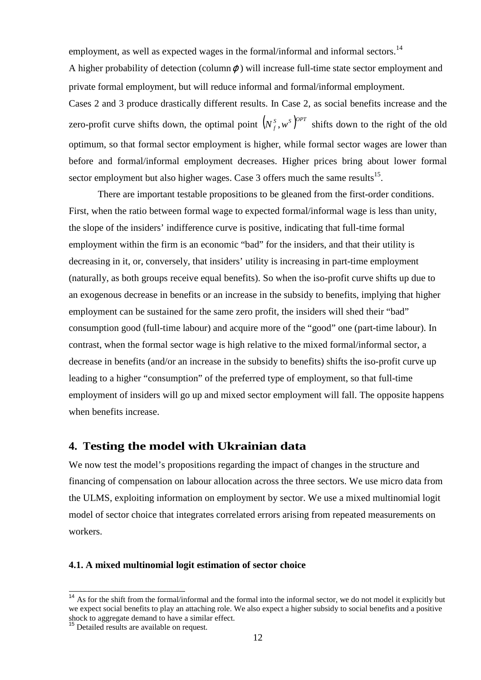employment, as well as expected wages in the formal/informal and informal sectors.<sup>14</sup>

A higher probability of detection (column $\varphi$ ) will increase full-time state sector employment and private formal employment, but will reduce informal and formal/informal employment.

Cases 2 and 3 produce drastically different results. In Case 2, as social benefits increase and the zero-profit curve shifts down, the optimal point  $(N_f^s, w^s)^{OPT}$  shifts down to the right of the old optimum, so that formal sector employment is higher, while formal sector wages are lower than before and formal/informal employment decreases. Higher prices bring about lower formal sector employment but also higher wages. Case  $3$  offers much the same results<sup>15</sup>.

There are important testable propositions to be gleaned from the first-order conditions. First, when the ratio between formal wage to expected formal/informal wage is less than unity, the slope of the insiders' indifference curve is positive, indicating that full-time formal employment within the firm is an economic "bad" for the insiders, and that their utility is decreasing in it, or, conversely, that insiders' utility is increasing in part-time employment (naturally, as both groups receive equal benefits). So when the iso-profit curve shifts up due to an exogenous decrease in benefits or an increase in the subsidy to benefits, implying that higher employment can be sustained for the same zero profit, the insiders will shed their "bad" consumption good (full-time labour) and acquire more of the "good" one (part-time labour). In contrast, when the formal sector wage is high relative to the mixed formal/informal sector, a decrease in benefits (and/or an increase in the subsidy to benefits) shifts the iso-profit curve up leading to a higher "consumption" of the preferred type of employment, so that full-time employment of insiders will go up and mixed sector employment will fall. The opposite happens when benefits increase.

### **4. Testing the model with Ukrainian data**

We now test the model's propositions regarding the impact of changes in the structure and financing of compensation on labour allocation across the three sectors. We use micro data from the ULMS, exploiting information on employment by sector. We use a mixed multinomial logit model of sector choice that integrates correlated errors arising from repeated measurements on workers.

#### **4.1. A mixed multinomial logit estimation of sector choice**

 $\overline{a}$ 

<sup>&</sup>lt;sup>14</sup> As for the shift from the formal/informal and the formal into the informal sector, we do not model it explicitly but we expect social benefits to play an attaching role. We also expect a higher subsidy to social benefits and a positive shock to aggregate demand to have a similar effect.

<sup>&</sup>lt;sup>15</sup> Detailed results are available on request.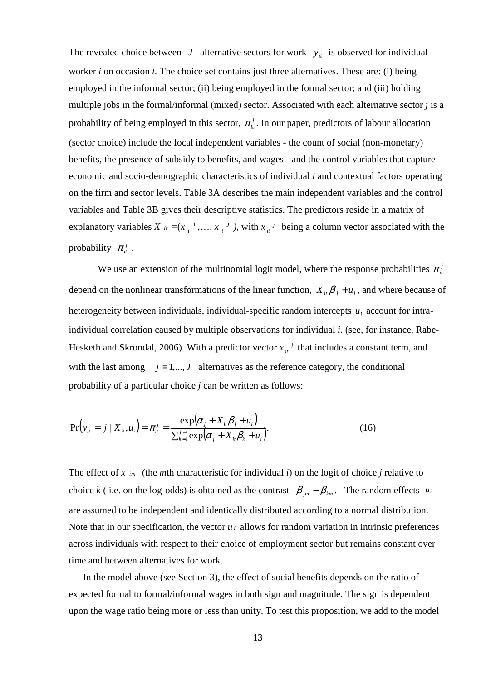The revealed choice between *J* alternative sectors for work  $y_i$  is observed for individual worker *i* on occasion *t.* The choice set contains just three alternatives. These are: (i) being employed in the informal sector; (ii) being employed in the formal sector; and (iii) holding multiple jobs in the formal/informal (mixed) sector. Associated with each alternative sector *j* is a probability of being employed in this sector,  $\pi_i^j$ . In our paper, predictors of labour allocation (sector choice) include the focal independent variables - the count of social (non-monetary) benefits, the presence of subsidy to benefits, and wages - and the control variables that capture economic and socio-demographic characteristics of individual *i* and contextual factors operating on the firm and sector levels. Table 3A describes the main independent variables and the control variables and Table 3B gives their descriptive statistics. The predictors reside in a matrix of explanatory variables *X*  $_{it} = (x_{it}^{-1},...,x_{it}^{-J})$ , with  $x_{it}^{-j}$  being a column vector associated with the probability  $\pi_{it}^j$ .

We use an extension of the multinomial logit model, where the response probabilities  $\pi_i^j$ depend on the nonlinear transformations of the linear function,  $X_{it} \beta_j + u_i$ , and where because of heterogeneity between individuals, individual-specific random intercepts  $u_i$  account for intraindividual correlation caused by multiple observations for individual *i*. (see, for instance, Rabe-Hesketh and Skrondal, 2006). With a predictor vector  $x_{it}$ <sup> $j$ </sup> that includes a constant term, and with the last among  $j = 1,..., J$  alternatives as the reference category, the conditional probability of a particular choice *j* can be written as follows:

$$
Pr(y_{it} = j \mid X_{it}, u_i) = \pi_{it}^j = \frac{\exp(\alpha_j + X_{it}\beta_j + u_i)}{\sum_{k=1}^{J-1} \exp(\alpha_j + X_{it}\beta_k + u_i)}.
$$
\n(16)

The effect of *x im* (the *m*th characteristic for individual *i*) on the logit of choice *j* relative to choice *k* ( i.e. on the log-odds) is obtained as the contrast  $\beta_{im} - \beta_{km}$ . The random effects *u<sub>i</sub>* are assumed to be independent and identically distributed according to a normal distribution. Note that in our specification, the vector  $u_i$  allows for random variation in intrinsic preferences across individuals with respect to their choice of employment sector but remains constant over time and between alternatives for work.

In the model above (see Section 3), the effect of social benefits depends on the ratio of expected formal to formal/informal wages in both sign and magnitude. The sign is dependent upon the wage ratio being more or less than unity. To test this proposition, we add to the model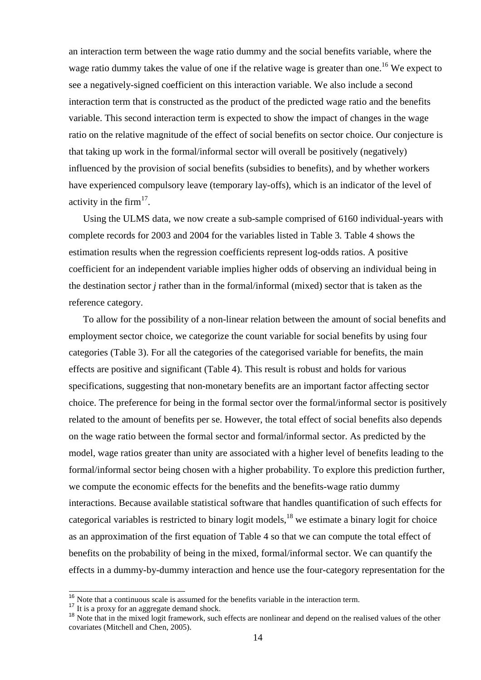an interaction term between the wage ratio dummy and the social benefits variable, where the wage ratio dummy takes the value of one if the relative wage is greater than one.<sup>16</sup> We expect to see a negatively-signed coefficient on this interaction variable. We also include a second interaction term that is constructed as the product of the predicted wage ratio and the benefits variable. This second interaction term is expected to show the impact of changes in the wage ratio on the relative magnitude of the effect of social benefits on sector choice. Our conjecture is that taking up work in the formal/informal sector will overall be positively (negatively) influenced by the provision of social benefits (subsidies to benefits), and by whether workers have experienced compulsory leave (temporary lay-offs), which is an indicator of the level of activity in the firm $17$ .

Using the ULMS data, we now create a sub-sample comprised of 6160 individual-years with complete records for 2003 and 2004 for the variables listed in Table 3*.* Table 4 shows the estimation results when the regression coefficients represent log-odds ratios. A positive coefficient for an independent variable implies higher odds of observing an individual being in the destination sector *j* rather than in the formal/informal (mixed) sector that is taken as the reference category.

To allow for the possibility of a non-linear relation between the amount of social benefits and employment sector choice, we categorize the count variable for social benefits by using four categories (Table 3). For all the categories of the categorised variable for benefits, the main effects are positive and significant (Table 4). This result is robust and holds for various specifications, suggesting that non-monetary benefits are an important factor affecting sector choice. The preference for being in the formal sector over the formal/informal sector is positively related to the amount of benefits per se. However, the total effect of social benefits also depends on the wage ratio between the formal sector and formal/informal sector. As predicted by the model, wage ratios greater than unity are associated with a higher level of benefits leading to the formal/informal sector being chosen with a higher probability. To explore this prediction further, we compute the economic effects for the benefits and the benefits-wage ratio dummy interactions. Because available statistical software that handles quantification of such effects for categorical variables is restricted to binary logit models,  $^{18}$  we estimate a binary logit for choice as an approximation of the first equation of Table 4 so that we can compute the total effect of benefits on the probability of being in the mixed, formal/informal sector. We can quantify the effects in a dummy-by-dummy interaction and hence use the four-category representation for the

 $\overline{a}$ 

 $16$  Note that a continuous scale is assumed for the benefits variable in the interaction term.

<sup>&</sup>lt;sup>17</sup> It is a proxy for an aggregate demand shock.

<sup>&</sup>lt;sup>18</sup> Note that in the mixed logit framework, such effects are nonlinear and depend on the realised values of the other covariates (Mitchell and Chen, 2005).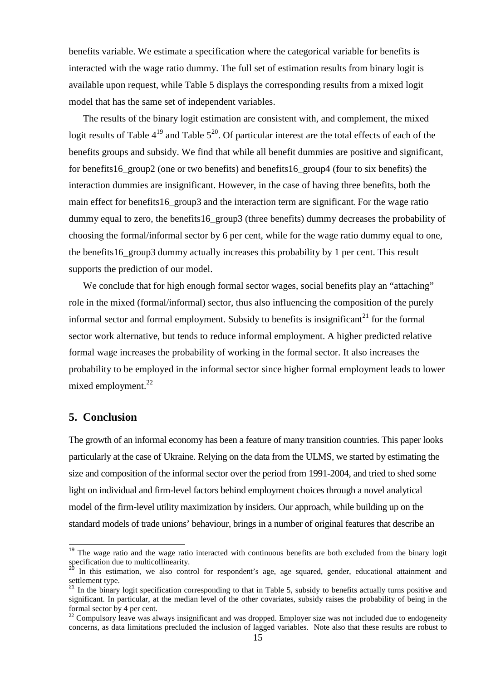benefits variable. We estimate a specification where the categorical variable for benefits is interacted with the wage ratio dummy. The full set of estimation results from binary logit is available upon request, while Table 5 displays the corresponding results from a mixed logit model that has the same set of independent variables.

The results of the binary logit estimation are consistent with, and complement, the mixed logit results of Table  $4^{19}$  and Table  $5^{20}$ . Of particular interest are the total effects of each of the benefits groups and subsidy. We find that while all benefit dummies are positive and significant, for benefits16\_group2 (one or two benefits) and benefits16\_group4 (four to six benefits) the interaction dummies are insignificant. However, in the case of having three benefits, both the main effect for benefits16\_group3 and the interaction term are significant. For the wage ratio dummy equal to zero, the benefits16 group3 (three benefits) dummy decreases the probability of choosing the formal/informal sector by 6 per cent, while for the wage ratio dummy equal to one, the benefits16\_group3 dummy actually increases this probability by 1 per cent. This result supports the prediction of our model.

We conclude that for high enough formal sector wages, social benefits play an "attaching" role in the mixed (formal/informal) sector, thus also influencing the composition of the purely informal sector and formal employment. Subsidy to benefits is insignificant<sup>21</sup> for the formal sector work alternative, but tends to reduce informal employment. A higher predicted relative formal wage increases the probability of working in the formal sector. It also increases the probability to be employed in the informal sector since higher formal employment leads to lower mixed employment.<sup>22</sup>

### **5. Conclusion**

 $\overline{a}$ 

The growth of an informal economy has been a feature of many transition countries. This paper looks particularly at the case of Ukraine. Relying on the data from the ULMS, we started by estimating the size and composition of the informal sector over the period from 1991-2004, and tried to shed some light on individual and firm-level factors behind employment choices through a novel analytical model of the firm-level utility maximization by insiders. Our approach, while building up on the standard models of trade unions' behaviour, brings in a number of original features that describe an

<sup>&</sup>lt;sup>19</sup> The wage ratio and the wage ratio interacted with continuous benefits are both excluded from the binary logit specification due to multicollinearity.

In this estimation, we also control for respondent's age, age squared, gender, educational attainment and settlement type.

<sup>&</sup>lt;sup>21</sup> In the binary logit specification corresponding to that in Table 5, subsidy to benefits actually turns positive and  $\frac{25}{100}$ significant. In particular, at the median level of the other covariates, subsidy raises the probability of being in the formal sector by 4 per cent.

<sup>&</sup>lt;sup>22</sup> Compulsory leave was always insignificant and was dropped. Employer size was not included due to endogeneity concerns, as data limitations precluded the inclusion of lagged variables. Note also that these results are robust to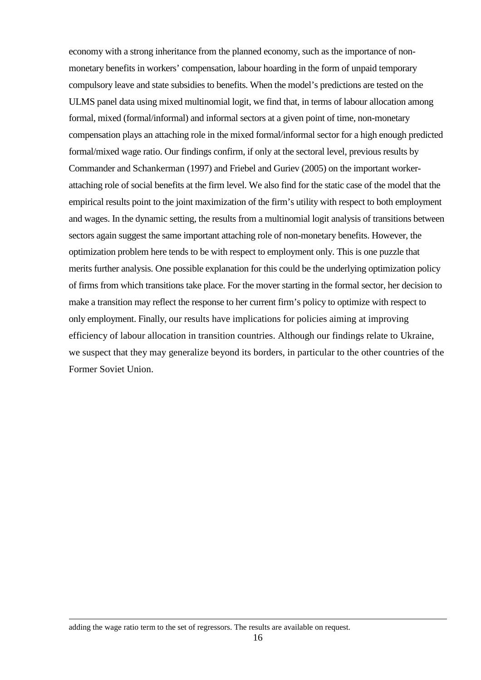economy with a strong inheritance from the planned economy, such as the importance of nonmonetary benefits in workers' compensation, labour hoarding in the form of unpaid temporary compulsory leave and state subsidies to benefits. When the model's predictions are tested on the ULMS panel data using mixed multinomial logit, we find that, in terms of labour allocation among formal, mixed (formal/informal) and informal sectors at a given point of time, non-monetary compensation plays an attaching role in the mixed formal/informal sector for a high enough predicted formal/mixed wage ratio. Our findings confirm, if only at the sectoral level, previous results by Commander and Schankerman (1997) and Friebel and Guriev (2005) on the important workerattaching role of social benefits at the firm level. We also find for the static case of the model that the empirical results point to the joint maximization of the firm's utility with respect to both employment and wages. In the dynamic setting, the results from a multinomial logit analysis of transitions between sectors again suggest the same important attaching role of non-monetary benefits. However, the optimization problem here tends to be with respect to employment only. This is one puzzle that merits further analysis. One possible explanation for this could be the underlying optimization policy of firms from which transitions take place. For the mover starting in the formal sector, her decision to make a transition may reflect the response to her current firm's policy to optimize with respect to only employment. Finally, our results have implications for policies aiming at improving efficiency of labour allocation in transition countries. Although our findings relate to Ukraine, we suspect that they may generalize beyond its borders, in particular to the other countries of the Former Soviet Union.

1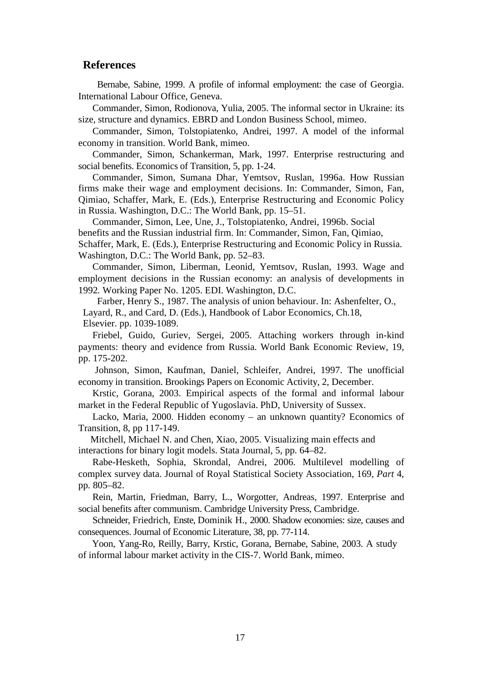#### **References**

Bernabe, Sabine, 1999. A profile of informal employment: the case of Georgia. International Labour Office, Geneva.

Commander, Simon, Rodionova, Yulia, 2005. The informal sector in Ukraine: its size, structure and dynamics. EBRD and London Business School, mimeo.

Commander, Simon, Tolstopiatenko, Andrei, 1997. A model of the informal economy in transition. World Bank, mimeo.

Commander, Simon, Schankerman, Mark, 1997. Enterprise restructuring and social benefits. Economics of Transition, 5, pp. 1-24.

Commander, Simon, Sumana Dhar, Yemtsov, Ruslan, 1996a. How Russian firms make their wage and employment decisions. In: Commander, Simon, Fan, Qimiao, Schaffer, Mark, E. (Eds.), Enterprise Restructuring and Economic Policy in Russia. Washington, D.C.: The World Bank, pp. 15–51.

Commander, Simon, Lee, Une, J., Tolstopiatenko, Andrei, 1996b. Social benefits and the Russian industrial firm. In: Commander, Simon, Fan, Qimiao, Schaffer, Mark, E. (Eds.), Enterprise Restructuring and Economic Policy in Russia. Washington, D.C.: The World Bank, pp. 52–83.

Commander, Simon, Liberman, Leonid, Yemtsov, Ruslan, 1993. Wage and employment decisions in the Russian economy: an analysis of developments in 1992*.* Working Paper No. 1205. EDI. Washington, D.C.

Farber, Henry S., 1987. The analysis of union behaviour. In: Ashenfelter, O., Layard, R., and Card, D. (Eds.), Handbook of Labor Economics, Ch.18, Elsevier. pp. 1039-1089.

Friebel, Guido, Guriev, Sergei, 2005. Attaching workers through in-kind payments: theory and evidence from Russia. World Bank Economic Review, 19, pp. 175-202.

 Johnson, Simon, Kaufman, Daniel, Schleifer, Andrei, 1997. The unofficial economy in transition. Brookings Papers on Economic Activity, 2, December.

Krstic, Gorana, 2003. Empirical aspects of the formal and informal labour market in the Federal Republic of Yugoslavia. PhD, University of Sussex.

Lacko, Maria, 2000. Hidden economy – an unknown quantity? Economics of Transition, 8, pp 117-149.

 Mitchell, Michael N. and Chen, Xiao, 2005. Visualizing main effects and interactions for binary logit models. Stata Journal, 5, pp. 64–82.

Rabe-Hesketh, Sophia, Skrondal, Andrei, 2006. Multilevel modelling of complex survey data. Journal of Royal Statistical Society Association, 169, *Part* 4, pp*.* 805–82.

Rein, Martin, Friedman, Barry, L., Worgotter, Andreas, 1997. Enterprise and social benefits after communism. Cambridge University Press, Cambridge.

Schneider, Friedrich, Enste, Dominik H., 2000. Shadow economies: size, causes and consequences. Journal of Economic Literature, 38, pp. 77-114.

Yoon, Yang-Ro, Reilly, Barry, Krstic, Gorana, Bernabe, Sabine, 2003. A study of informal labour market activity in the CIS-7. World Bank, mimeo.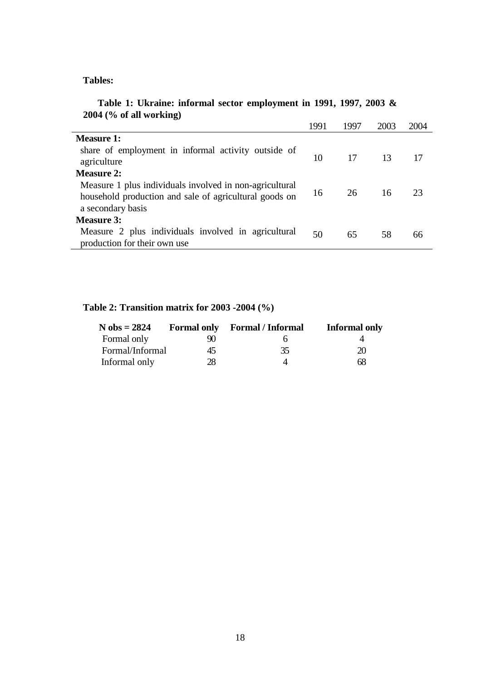## **Tables:**

## **Table 1: Ukraine: informal sector employment in 1991, 1997, 2003 & 2004 (% of all working)**

|                                                                                                                                        | 1991 | 1997 | 2003 | 2004 |
|----------------------------------------------------------------------------------------------------------------------------------------|------|------|------|------|
| Measure 1:                                                                                                                             |      |      |      |      |
| share of employment in informal activity outside of<br>agriculture                                                                     | 10   | 17   | -13  | 17   |
| <b>Measure 2:</b>                                                                                                                      |      |      |      |      |
| Measure 1 plus individuals involved in non-agricultural<br>household production and sale of agricultural goods on<br>a secondary basis | 16   | 26   | 16   | 23   |
| <b>Measure 3:</b>                                                                                                                      |      |      |      |      |
| Measure 2 plus individuals involved in agricultural<br>production for their own use                                                    | 50   | 65   | 58   | 66   |

# **Table 2: Transition matrix for 2003 -2004 (%)**

| $N$ obs = 2824  |    | <b>Formal only</b> Formal / Informal | <b>Informal only</b> |
|-----------------|----|--------------------------------------|----------------------|
| Formal only     | 90 |                                      |                      |
| Formal/Informal | 45 | 35                                   | 20                   |
| Informal only   | 28 |                                      | 68                   |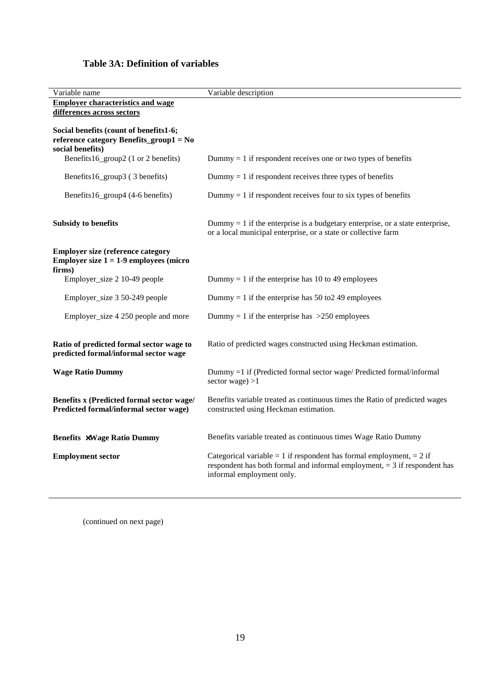## **Table 3A: Definition of variables**

| Variable name                                                                     | Variable description                                                                                     |
|-----------------------------------------------------------------------------------|----------------------------------------------------------------------------------------------------------|
| <b>Employer characteristics and wage</b>                                          |                                                                                                          |
| differences across sectors                                                        |                                                                                                          |
| Social benefits (count of benefits1-6;                                            |                                                                                                          |
| reference category Benefits_group1 = No                                           |                                                                                                          |
| social benefits)                                                                  |                                                                                                          |
| Benefits16_group2 (1 or 2 benefits)                                               | Dummy $= 1$ if respondent receives one or two types of benefits                                          |
| Benefits16_group3 (3 benefits)                                                    | Dummy $= 1$ if respondent receives three types of benefits                                               |
| Benefits16_group4 (4-6 benefits)                                                  | Dummy $= 1$ if respondent receives four to six types of benefits                                         |
| <b>Subsidy to benefits</b>                                                        | Dummy $= 1$ if the enterprise is a budgetary enterprise, or a state enterprise,                          |
|                                                                                   | or a local municipal enterprise, or a state or collective farm                                           |
| <b>Employer size (reference category</b>                                          |                                                                                                          |
| <b>Employer size <math>1 = 1-9</math> employees (micro</b>                        |                                                                                                          |
| firms)<br>Employer_size 2 10-49 people                                            | Dummy = 1 if the enterprise has 10 to 49 employees                                                       |
|                                                                                   |                                                                                                          |
| Employer_size 3 50-249 people                                                     | Dummy = 1 if the enterprise has 50 to 249 employees                                                      |
| Employer_size 4 250 people and more                                               | Dummy = 1 if the enterprise has $>250$ employees                                                         |
|                                                                                   |                                                                                                          |
| Ratio of predicted formal sector wage to<br>predicted formal/informal sector wage | Ratio of predicted wages constructed using Heckman estimation.                                           |
|                                                                                   |                                                                                                          |
| <b>Wage Ratio Dummy</b>                                                           | Dummy =1 if (Predicted formal sector wage/ Predicted formal/informal<br>sector wage $) > 1$              |
| Benefits x (Predicted formal sector wage/                                         | Benefits variable treated as continuous times the Ratio of predicted wages                               |
| Predicted formal/informal sector wage)                                            | constructed using Heckman estimation.                                                                    |
|                                                                                   |                                                                                                          |
| <b>Benefits ×Wage Ratio Dummy</b>                                                 | Benefits variable treated as continuous times Wage Ratio Dummy                                           |
| <b>Employment sector</b>                                                          | Categorical variable = 1 if respondent has formal employment, = 2 if                                     |
|                                                                                   | respondent has both formal and informal employment, $=$ 3 if respondent has<br>informal employment only. |
|                                                                                   |                                                                                                          |

(continued on next page)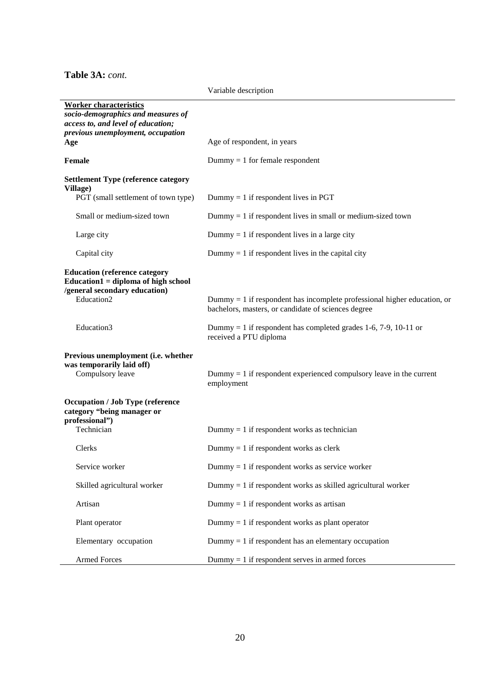**Table 3A:** *cont.*

Variable description

| <b>Worker characteristics</b>                                                                                   |                                                                                                                                   |  |  |
|-----------------------------------------------------------------------------------------------------------------|-----------------------------------------------------------------------------------------------------------------------------------|--|--|
| socio-demographics and measures of                                                                              |                                                                                                                                   |  |  |
| access to, and level of education;                                                                              |                                                                                                                                   |  |  |
| previous unemployment, occupation                                                                               |                                                                                                                                   |  |  |
| Age                                                                                                             | Age of respondent, in years                                                                                                       |  |  |
| Female                                                                                                          | $Dummy = 1$ for female respondent                                                                                                 |  |  |
| <b>Settlement Type (reference category</b><br>Village)                                                          |                                                                                                                                   |  |  |
| PGT (small settlement of town type)                                                                             | Dummy = 1 if respondent lives in PGT                                                                                              |  |  |
| Small or medium-sized town                                                                                      | Dummy $= 1$ if respondent lives in small or medium-sized town                                                                     |  |  |
| Large city                                                                                                      | Dummy = 1 if respondent lives in a large city                                                                                     |  |  |
| Capital city                                                                                                    | Dummy $= 1$ if respondent lives in the capital city                                                                               |  |  |
| <b>Education (reference category</b><br>Education $1 =$ diploma of high school<br>/general secondary education) |                                                                                                                                   |  |  |
| Education2                                                                                                      | Dummy $= 1$ if respondent has incomplete professional higher education, or<br>bachelors, masters, or candidate of sciences degree |  |  |
| Education3                                                                                                      | Dummy = 1 if respondent has completed grades 1-6, 7-9, 10-11 or<br>received a PTU diploma                                         |  |  |
| Previous unemployment (i.e. whether                                                                             |                                                                                                                                   |  |  |
| was temporarily laid off)                                                                                       |                                                                                                                                   |  |  |
| Compulsory leave                                                                                                | Dummy $= 1$ if respondent experienced compulsory leave in the current<br>employment                                               |  |  |
| <b>Occupation / Job Type (reference</b><br>category "being manager or<br>professional")                         |                                                                                                                                   |  |  |
| Technician                                                                                                      | Dummy = 1 if respondent works as technician                                                                                       |  |  |
| Clerks                                                                                                          | Dummy = 1 if respondent works as clerk                                                                                            |  |  |
| Service worker                                                                                                  | Dummy = 1 if respondent works as service worker                                                                                   |  |  |
| Skilled agricultural worker                                                                                     | Dummy $= 1$ if respondent works as skilled agricultural worker                                                                    |  |  |
| Artisan                                                                                                         | Dummy = 1 if respondent works as artisan                                                                                          |  |  |
| Plant operator                                                                                                  | Dummy $= 1$ if respondent works as plant operator                                                                                 |  |  |
| Elementary occupation                                                                                           | Dummy $= 1$ if respondent has an elementary occupation                                                                            |  |  |
| <b>Armed Forces</b>                                                                                             | Dummy $= 1$ if respondent serves in armed forces                                                                                  |  |  |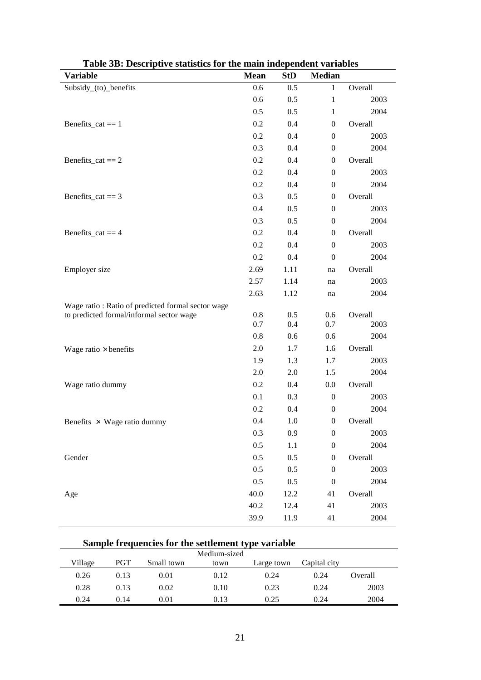| Variable                                          | <b>Mean</b> | <b>StD</b> | <b>Median</b>    |         |
|---------------------------------------------------|-------------|------------|------------------|---------|
| Subsidy_(to)_benefits                             | 0.6         | 0.5        | $\mathbf{1}$     | Overall |
|                                                   | 0.6         | 0.5        | $\mathbf{1}$     | 2003    |
|                                                   | 0.5         | 0.5        | 1                | 2004    |
| Benefits_cat $== 1$                               | 0.2         | 0.4        | $\boldsymbol{0}$ | Overall |
|                                                   | 0.2         | 0.4        | $\boldsymbol{0}$ | 2003    |
|                                                   | 0.3         | 0.4        | $\boldsymbol{0}$ | 2004    |
| Benefits_cat == $2$                               | 0.2         | 0.4        | $\boldsymbol{0}$ | Overall |
|                                                   | 0.2         | 0.4        | $\boldsymbol{0}$ | 2003    |
|                                                   | 0.2         | 0.4        | $\boldsymbol{0}$ | 2004    |
| Benefits_cat == $3$                               | 0.3         | 0.5        | $\boldsymbol{0}$ | Overall |
|                                                   | 0.4         | 0.5        | $\boldsymbol{0}$ | 2003    |
|                                                   | 0.3         | 0.5        | $\boldsymbol{0}$ | 2004    |
| Benefits_cat == $4$                               | 0.2         | 0.4        | $\boldsymbol{0}$ | Overall |
|                                                   | 0.2         | 0.4        | $\boldsymbol{0}$ | 2003    |
|                                                   | 0.2         | 0.4        | $\boldsymbol{0}$ | 2004    |
| Employer size                                     | 2.69        | 1.11       | na               | Overall |
|                                                   | 2.57        | 1.14       | na               | 2003    |
|                                                   | 2.63        | 1.12       | na               | 2004    |
| Wage ratio: Ratio of predicted formal sector wage |             |            |                  |         |
| to predicted formal/informal sector wage          | 0.8         | 0.5        | 0.6              | Overall |
|                                                   | 0.7         | 0.4        | 0.7              | 2003    |
|                                                   | 0.8         | 0.6        | 0.6              | 2004    |
| Wage ratio $\times$ benefits                      | 2.0         | 1.7        | 1.6              | Overall |
|                                                   | 1.9         | 1.3        | 1.7              | 2003    |
|                                                   | 2.0         | 2.0        | 1.5              | 2004    |
| Wage ratio dummy                                  | 0.2         | 0.4        | 0.0              | Overall |
|                                                   | 0.1         | 0.3        | $\boldsymbol{0}$ | 2003    |
|                                                   | 0.2         | 0.4        | $\boldsymbol{0}$ | 2004    |
| Benefits $\times$ Wage ratio dummy                | 0.4         | 1.0        | $\boldsymbol{0}$ | Overall |
|                                                   | 0.3         | 0.9        | $\boldsymbol{0}$ | 2003    |
|                                                   | 0.5         | 1.1        | $\boldsymbol{0}$ | 2004    |
| Gender                                            | 0.5         | 0.5        | $\boldsymbol{0}$ | Overall |
|                                                   | 0.5         | 0.5        | $\boldsymbol{0}$ | 2003    |
|                                                   | 0.5         | 0.5        | $\boldsymbol{0}$ | 2004    |
| Age                                               | 40.0        | 12.2       | 41               | Overall |
|                                                   | 40.2        | 12.4       | 41               | 2003    |
|                                                   | 39.9        | 11.9       | 41               | 2004    |

| Table 3B: Descriptive statistics for the main independent variables |  |  |  |
|---------------------------------------------------------------------|--|--|--|
|---------------------------------------------------------------------|--|--|--|

# **Sample frequencies for the settlement type variable**

| Medium-sized |      |            |      |            |              |         |
|--------------|------|------------|------|------------|--------------|---------|
| Village      | PGT  | Small town | town | Large town | Capital city |         |
| 0.26         | 0.13 | 0.01       | 0.12 | 0.24       | 0.24         | Overall |
| 0.28         | 0.13 | 0.02       | 0.10 | 0.23       | 0.24         | 2003    |
| 0.24         | 0.14 | 0.01       | 0.13 | 0.25       | 0.24         | 2004    |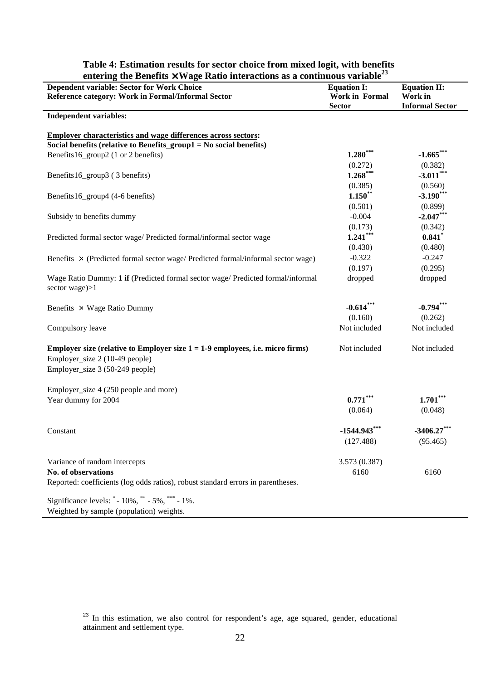| entering the benefits $\lambda$ wage Natio interactions as a continuous variable                 |                                             |                                |
|--------------------------------------------------------------------------------------------------|---------------------------------------------|--------------------------------|
| Dependent variable: Sector for Work Choice<br>Reference category: Work in Formal/Informal Sector | <b>Equation I:</b><br><b>Work in Formal</b> | <b>Equation II:</b><br>Work in |
|                                                                                                  | <b>Sector</b>                               | <b>Informal Sector</b>         |
| <b>Independent variables:</b>                                                                    |                                             |                                |
|                                                                                                  |                                             |                                |
| <b>Employer characteristics and wage differences across sectors:</b>                             |                                             |                                |
| Social benefits (relative to Benefits_group1 = No social benefits)                               |                                             |                                |
| Benefits16_group2 (1 or 2 benefits)                                                              | $1.280***$                                  | $-1.665***$                    |
|                                                                                                  | (0.272)                                     | (0.382)                        |
| Benefits16_group3 (3 benefits)                                                                   | $1.268***$                                  | $-3.011***$                    |
|                                                                                                  | (0.385)                                     | (0.560)                        |
| Benefits16_group4 (4-6 benefits)                                                                 | $1.150**$                                   | $-3.190***$                    |
|                                                                                                  | (0.501)                                     | (0.899)                        |
| Subsidy to benefits dummy                                                                        | $-0.004$                                    | $-2.047***$                    |
|                                                                                                  | (0.173)                                     | (0.342)                        |
| Predicted formal sector wage/ Predicted formal/informal sector wage                              | $1.241***$                                  | 0.841                          |
|                                                                                                  | (0.430)                                     | (0.480)                        |
| Benefits $\times$ (Predicted formal sector wage/ Predicted formal/informal sector wage)          | $-0.322$                                    | $-0.247$                       |
|                                                                                                  | (0.197)                                     | (0.295)                        |
| Wage Ratio Dummy: 1 if (Predicted formal sector wage/ Predicted formal/informal                  | dropped                                     | dropped                        |
| sector wage $>1$                                                                                 |                                             |                                |
|                                                                                                  |                                             |                                |
| Benefits $\times$ Wage Ratio Dummy                                                               | $-0.614***$                                 | $-0.794***$                    |
|                                                                                                  | (0.160)                                     | (0.262)                        |
| Compulsory leave                                                                                 | Not included                                | Not included                   |
|                                                                                                  |                                             |                                |
| Employer size (relative to Employer size $1 = 1-9$ employees, i.e. micro firms)                  | Not included                                | Not included                   |
| Employer_size 2 (10-49 people)                                                                   |                                             |                                |
| Employer_size 3 (50-249 people)                                                                  |                                             |                                |
|                                                                                                  |                                             |                                |
| Employer_size 4 (250 people and more)                                                            |                                             |                                |
| Year dummy for 2004                                                                              | $0.771$ **                                  | $1.701***$                     |
|                                                                                                  | (0.064)                                     | (0.048)                        |
|                                                                                                  |                                             |                                |
| Constant                                                                                         | $-1544.943***$                              | $-3406.27***$                  |
|                                                                                                  | (127.488)                                   | (95.465)                       |
|                                                                                                  |                                             |                                |
| Variance of random intercepts                                                                    | 3.573 (0.387)                               |                                |
| No. of observations                                                                              | 6160                                        | 6160                           |
| Reported: coefficients (log odds ratios), robust standard errors in parentheses.                 |                                             |                                |
|                                                                                                  |                                             |                                |
| Significance levels: * - 10%, ** - 5%, *** - 1%.                                                 |                                             |                                |
| Weighted by sample (population) weights.                                                         |                                             |                                |

### **Table 4: Estimation results for sector choice from mixed logit, with benefits**  entering the Benefits  $\times$  Wage Ratio interactions as a continuous variable<sup>23</sup>

 $\overline{a}$ 

<sup>&</sup>lt;sup>23</sup> In this estimation, we also control for respondent's age, age squared, gender, educational attainment and settlement type.